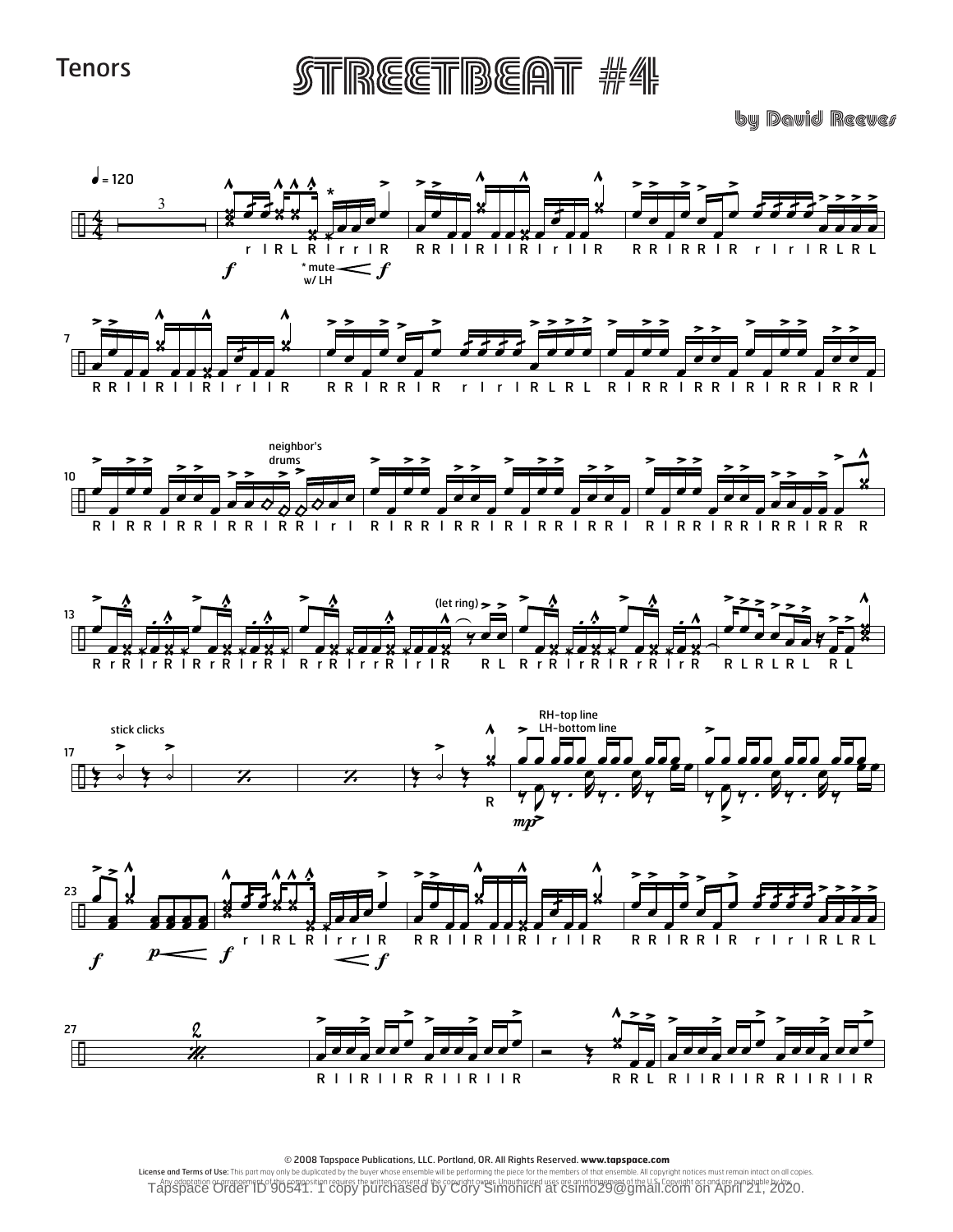**Tenors** 

STREETBEAT #4

by David Reever







© 2008 Tapspace Publications, LLC. Portland, OR. All Rights Reserved. www.tapspace.com<br>License and Terms of Use: This part may only be duplicated by the buyer whose ensemble will be performing the piece for the members of Tapsdeed of the U.S. Copyright Copyright Copyright Copyright Copyright Copyright Copyright Copyright Copyright Copyright Copyright Copyright Copyright Copyright Copyright Copyright Copyright Copyright Copyright Copyright C